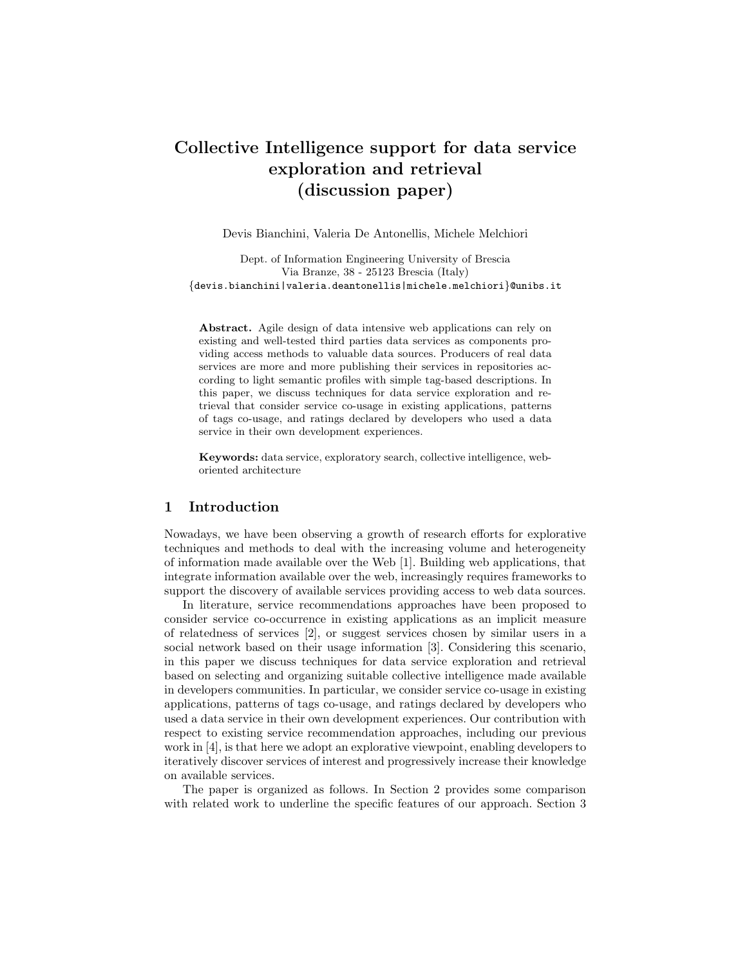# Collective Intelligence support for data service exploration and retrieval (discussion paper)

Devis Bianchini, Valeria De Antonellis, Michele Melchiori

Dept. of Information Engineering University of Brescia Via Branze, 38 - 25123 Brescia (Italy) {devis.bianchini|valeria.deantonellis|michele.melchiori}@unibs.it

Abstract. Agile design of data intensive web applications can rely on existing and well-tested third parties data services as components providing access methods to valuable data sources. Producers of real data services are more and more publishing their services in repositories according to light semantic profiles with simple tag-based descriptions. In this paper, we discuss techniques for data service exploration and retrieval that consider service co-usage in existing applications, patterns of tags co-usage, and ratings declared by developers who used a data service in their own development experiences.

Keywords: data service, exploratory search, collective intelligence, weboriented architecture

### 1 Introduction

Nowadays, we have been observing a growth of research efforts for explorative techniques and methods to deal with the increasing volume and heterogeneity of information made available over the Web [1]. Building web applications, that integrate information available over the web, increasingly requires frameworks to support the discovery of available services providing access to web data sources.

In literature, service recommendations approaches have been proposed to consider service co-occurrence in existing applications as an implicit measure of relatedness of services [2], or suggest services chosen by similar users in a social network based on their usage information [3]. Considering this scenario, in this paper we discuss techniques for data service exploration and retrieval based on selecting and organizing suitable collective intelligence made available in developers communities. In particular, we consider service co-usage in existing applications, patterns of tags co-usage, and ratings declared by developers who used a data service in their own development experiences. Our contribution with respect to existing service recommendation approaches, including our previous work in [4], is that here we adopt an explorative viewpoint, enabling developers to iteratively discover services of interest and progressively increase their knowledge on available services.

The paper is organized as follows. In Section 2 provides some comparison with related work to underline the specific features of our approach. Section 3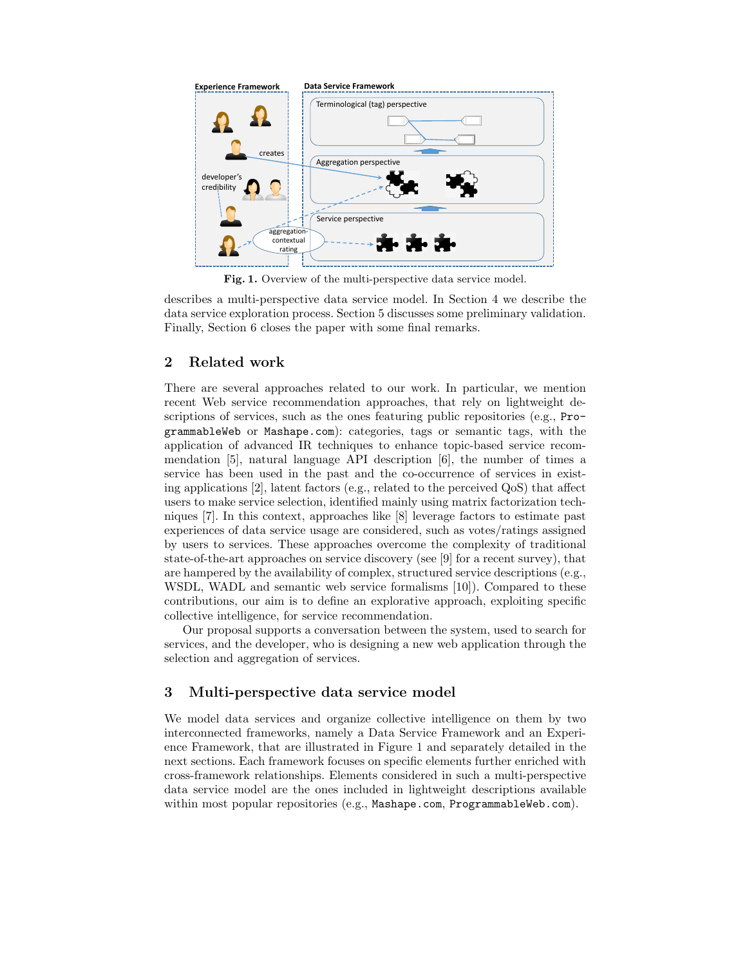

Fig. 1. Overview of the multi-perspective data service model.

describes a multi-perspective data service model. In Section 4 we describe the data service exploration process. Section 5 discusses some preliminary validation. Finally, Section 6 closes the paper with some final remarks.

# 2 Related work

There are several approaches related to our work. In particular, we mention recent Web service recommendation approaches, that rely on lightweight descriptions of services, such as the ones featuring public repositories (e.g., ProgrammableWeb or Mashape.com): categories, tags or semantic tags, with the application of advanced IR techniques to enhance topic-based service recommendation  $[5]$ , natural language API description  $[6]$ , the number of times a service has been used in the past and the co-occurrence of services in existing applications [2], latent factors (e.g., related to the perceived QoS) that affect users to make service selection, identified mainly using matrix factorization techniques [7]. In this context, approaches like [8] leverage factors to estimate past experiences of data service usage are considered, such as votes/ratings assigned by users to services. These approaches overcome the complexity of traditional state-of-the-art approaches on service discovery (see [9] for a recent survey), that are hampered by the availability of complex, structured service descriptions (e.g., WSDL, WADL and semantic web service formalisms [10]). Compared to these contributions, our aim is to define an explorative approach, exploiting specific collective intelligence, for service recommendation.

Our proposal supports a conversation between the system, used to search for services, and the developer, who is designing a new web application through the selection and aggregation of services.

# 3 Multi-perspective data service model

We model data services and organize collective intelligence on them by two interconnected frameworks, namely a Data Service Framework and an Experience Framework, that are illustrated in Figure 1 and separately detailed in the next sections. Each framework focuses on specific elements further enriched with cross-framework relationships. Elements considered in such a multi-perspective data service model are the ones included in lightweight descriptions available within most popular repositories (e.g., Mashape.com, ProgrammableWeb.com).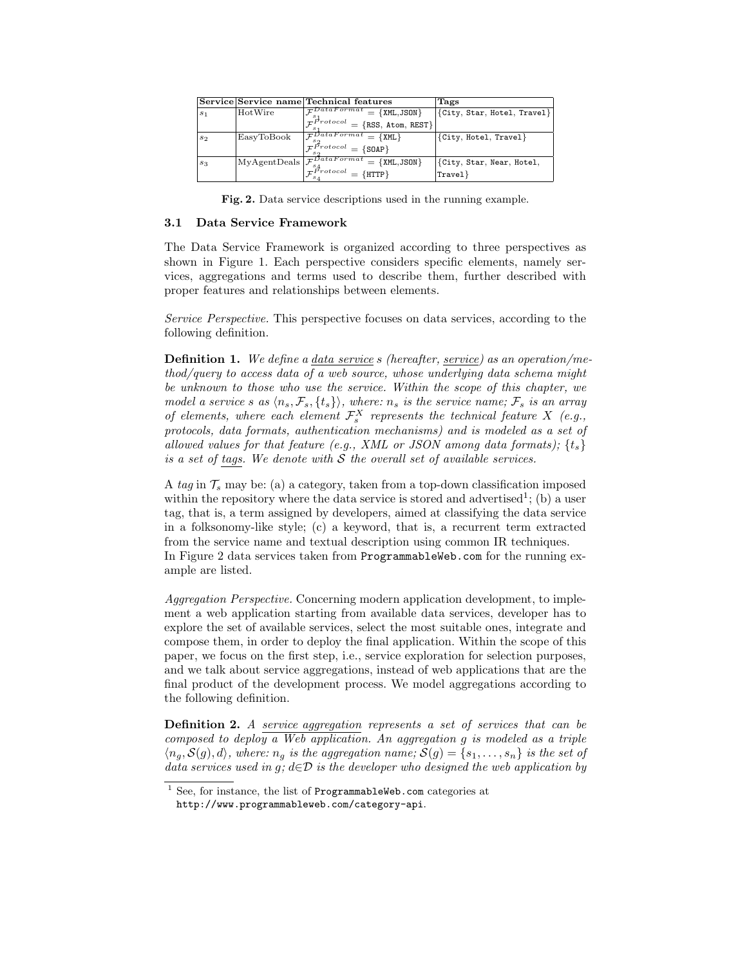|                |              | Service Service name Technical features                                                                            | Tags                              |
|----------------|--------------|--------------------------------------------------------------------------------------------------------------------|-----------------------------------|
|                |              |                                                                                                                    |                                   |
| S <sub>1</sub> | HotWire      | $\sqrt{\mathcal{F}^{DataFormat}} = \{$ XML, JSON $\}$                                                              | $ \{City, Star, Hotel, Travel\} $ |
|                |              | $\mathcal{F} \overset{s_1}{\mathcal{F}^{\mathit{Protocol}}} = \{\texttt{RSS}, \texttt{Atom}, \texttt{REST}\}^\top$ |                                   |
| s <sub>2</sub> | EasyToBook   | $\overline{\mathcal{F}^{DataFormat}} = \{$ XML}                                                                    | $ \{City, Hotel, Travel\} $       |
|                |              | $\tau^{\overset{s_2}{P}_{rotocol}}=\{\texttt{SOMP}\}$                                                              |                                   |
| $s_3$          | MyAgentDeals | $\overline{\mathcal{F}}^{DataFormat} = \{$ XML,JSON $\}$                                                           | {City, Star, Near, Hotel,         |
|                |              | $\tau^{\frac{s_4}{P}rotocol}=\{\text{HTTP}\}$                                                                      | $Travel$ }                        |

Fig. 2. Data service descriptions used in the running example.

#### 3.1 Data Service Framework

The Data Service Framework is organized according to three perspectives as shown in Figure 1. Each perspective considers specific elements, namely services, aggregations and terms used to describe them, further described with proper features and relationships between elements.

Service Perspective. This perspective focuses on data services, according to the following definition.

**Definition 1.** We define a data service s (hereafter, service) as an operation/method/query to access data of a web source, whose underlying data schema might be unknown to those who use the service. Within the scope of this chapter, we model a service s as  $\langle n_s, \mathcal{F}_s, \{t_s\} \rangle$ , where:  $n_s$  is the service name;  $\mathcal{F}_s$  is an array of elements, where each element  $\mathcal{F}^X_s$  represents the technical feature X (e.g., protocols, data formats, authentication mechanisms) and is modeled as a set of allowed values for that feature (e.g., XML or JSON among data formats);  $\{t_s\}$ is a set of tags. We denote with  $S$  the overall set of available services.

A tag in  $\mathcal{T}_s$  may be: (a) a category, taken from a top-down classification imposed within the repository where the data service is stored and advertised<sup>1</sup>; (b) a user tag, that is, a term assigned by developers, aimed at classifying the data service in a folksonomy-like style; (c) a keyword, that is, a recurrent term extracted from the service name and textual description using common IR techniques. In Figure 2 data services taken from ProgrammableWeb.com for the running example are listed.

Aggregation Perspective. Concerning modern application development, to implement a web application starting from available data services, developer has to explore the set of available services, select the most suitable ones, integrate and compose them, in order to deploy the final application. Within the scope of this paper, we focus on the first step, i.e., service exploration for selection purposes, and we talk about service aggregations, instead of web applications that are the final product of the development process. We model aggregations according to the following definition.

Definition 2. A service aggregation represents a set of services that can be composed to deploy a Web application. An aggregation g is modeled as a triple  $\langle n_q, S(q), d \rangle$ , where:  $n_q$  is the aggregation name;  $S(q) = \{s_1, \ldots, s_n\}$  is the set of data services used in g;  $d \in \mathcal{D}$  is the developer who designed the web application by

<sup>1</sup> See, for instance, the list of ProgrammableWeb.com categories at http://www.programmableweb.com/category-api.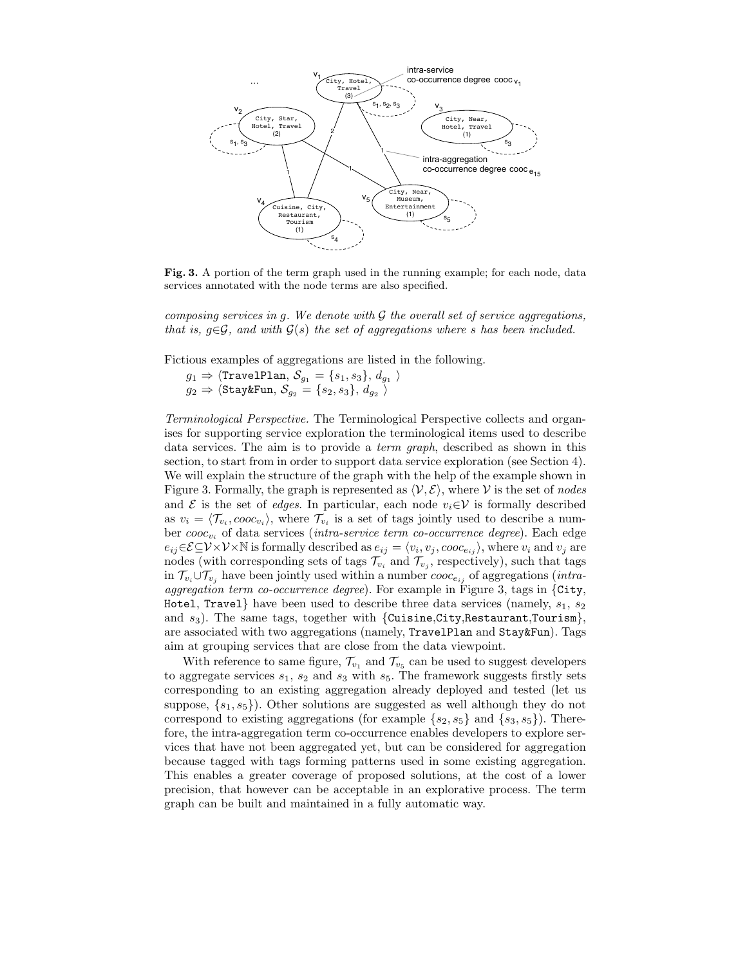

Fig. 3. A portion of the term graph used in the running example; for each node, data services annotated with the node terms are also specified.

composing services in g. We denote with  $\mathcal G$  the overall set of service aggregations, that is,  $q \in \mathcal{G}$ , and with  $\mathcal{G}(s)$  the set of aggregations where s has been included.

Fictious examples of aggregations are listed in the following.

 $g_1 \Rightarrow \langle \texttt{True} \texttt{IPlan}, \, \mathcal{S}_{g_1} = \{s_1, s_3\}, \, d_{g_1} \ \rangle$  $g_2 \Rightarrow \langle \texttt{Stay\&Fun}, \, \mathcal{S}_{g_2} = \{s_2, s_3\}, \, d_{g_2} \ \rangle$ 

Terminological Perspective. The Terminological Perspective collects and organises for supporting service exploration the terminological items used to describe data services. The aim is to provide a term graph, described as shown in this section, to start from in order to support data service exploration (see Section 4). We will explain the structure of the graph with the help of the example shown in Figure 3. Formally, the graph is represented as  $\langle V, \mathcal{E} \rangle$ , where V is the set of nodes and  $\mathcal E$  is the set of *edges*. In particular, each node  $v_i \in \mathcal V$  is formally described as  $v_i = \langle \mathcal{T}_{v_i}, cooc_{v_i} \rangle$ , where  $\mathcal{T}_{v_i}$  is a set of tags jointly used to describe a number  $cooc_{v_i}$  of data services (*intra-service term co-occurrence degree*). Each edge  $e_{ij} \in \mathcal{E} \subseteq \mathcal{V} \times \mathcal{V} \times \mathbb{N}$  is formally described as  $e_{ij} = \langle v_i, v_j, cooc_{e_{ij}} \rangle$ , where  $v_i$  and  $v_j$  are nodes (with corresponding sets of tags  $\mathcal{T}_{v_i}$  and  $\mathcal{T}_{v_j}$ , respectively), such that tags in  $\mathcal{T}_{v_i}\cup\mathcal{T}_{v_j}$  have been jointly used within a number  $cooc_{e_{ij}}$  of aggregations (*intra*aggregation term co-occurrence degree). For example in Figure 3, tags in {City, Hotel, Travel} have been used to describe three data services (namely,  $s_1$ ,  $s_2$ ) and  $s_3$ ). The same tags, together with {Cuisine,City,Restaurant,Tourism}, are associated with two aggregations (namely, TravelPlan and Stay&Fun). Tags aim at grouping services that are close from the data viewpoint.

With reference to same figure,  $\mathcal{T}_{v_1}$  and  $\mathcal{T}_{v_5}$  can be used to suggest developers to aggregate services  $s_1$ ,  $s_2$  and  $s_3$  with  $s_5$ . The framework suggests firstly sets corresponding to an existing aggregation already deployed and tested (let us suppose,  $\{s_1, s_5\}$ . Other solutions are suggested as well although they do not correspond to existing aggregations (for example  $\{s_2, s_5\}$  and  $\{s_3, s_5\}$ ). Therefore, the intra-aggregation term co-occurrence enables developers to explore services that have not been aggregated yet, but can be considered for aggregation because tagged with tags forming patterns used in some existing aggregation. This enables a greater coverage of proposed solutions, at the cost of a lower precision, that however can be acceptable in an explorative process. The term graph can be built and maintained in a fully automatic way.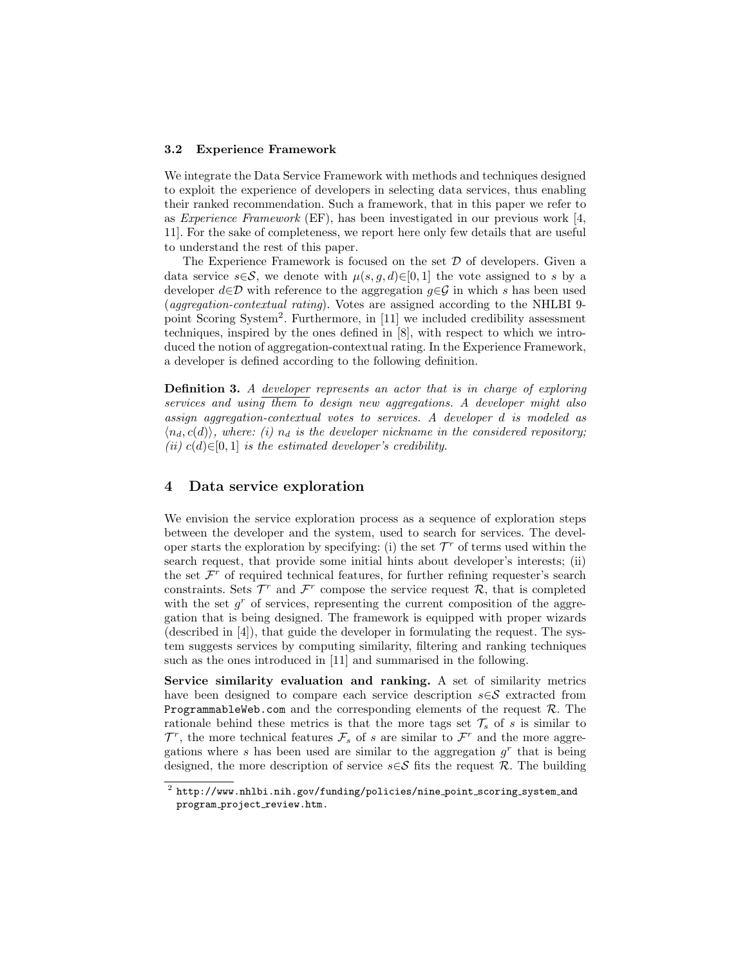#### 3.2 Experience Framework

We integrate the Data Service Framework with methods and techniques designed to exploit the experience of developers in selecting data services, thus enabling their ranked recommendation. Such a framework, that in this paper we refer to as *Experience Framework* (EF), has been investigated in our previous work [4, 11]. For the sake of completeness, we report here only few details that are useful to understand the rest of this paper.

The Experience Framework is focused on the set  $D$  of developers. Given a data service  $s \in \mathcal{S}$ , we denote with  $\mu(s, g, d) \in [0, 1]$  the vote assigned to s by a developer  $d\in\mathcal{D}$  with reference to the aggregation  $q\in\mathcal{G}$  in which s has been used (aggregation-contextual rating). Votes are assigned according to the NHLBI 9 point Scoring System<sup>2</sup>. Furthermore, in [11] we included credibility assessment techniques, inspired by the ones defined in [8], with respect to which we introduced the notion of aggregation-contextual rating. In the Experience Framework, a developer is defined according to the following definition.

Definition 3. A developer represents an actor that is in charge of exploring services and using them to design new aggregations. A developer might also assign aggregation-contextual votes to services. A developer d is modeled as  $\langle n_d, c(d) \rangle$ , where: (i)  $n_d$  is the developer nickname in the considered repository; (ii)  $c(d) \in [0, 1]$  is the estimated developer's credibility.

# 4 Data service exploration

We envision the service exploration process as a sequence of exploration steps between the developer and the system, used to search for services. The developer starts the exploration by specifying: (i) the set  $\mathcal{T}^r$  of terms used within the search request, that provide some initial hints about developer's interests; (ii) the set  $\mathcal{F}^r$  of required technical features, for further refining requester's search constraints. Sets  $\mathcal{T}^r$  and  $\mathcal{F}^r$  compose the service request  $\mathcal{R}$ , that is completed with the set  $g<sup>r</sup>$  of services, representing the current composition of the aggregation that is being designed. The framework is equipped with proper wizards (described in [4]), that guide the developer in formulating the request. The system suggests services by computing similarity, filtering and ranking techniques such as the ones introduced in [11] and summarised in the following.

Service similarity evaluation and ranking. A set of similarity metrics have been designed to compare each service description  $s \in S$  extracted from ProgrammableWeb.com and the corresponding elements of the request  $R$ . The rationale behind these metrics is that the more tags set  $\mathcal{T}_s$  of s is similar to  $\mathcal{T}^r$ , the more technical features  $\mathcal{F}_s$  of s are similar to  $\mathcal{F}^r$  and the more aggregations where s has been used are similar to the aggregation  $g<sup>r</sup>$  that is being designed, the more description of service  $s \in \mathcal{S}$  fits the request R. The building

 $^2$  http://www.nhlbi.nih.gov/funding/policies/nine\_point\_scoring\_system\_and program\_project\_review.htm.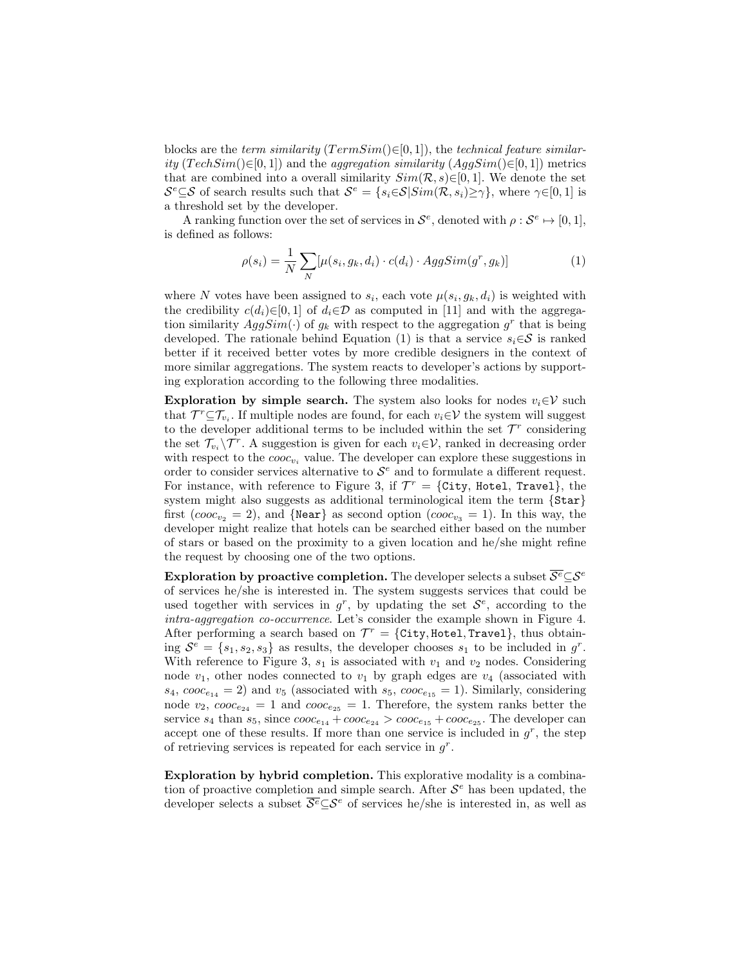blocks are the term similarity ( $TermSim(\varepsilon[0, 1])$ , the technical feature similarity  $(TechSim(\epsilon[0,1])$  and the aggregation similarity  $(AqqSim(\epsilon[0,1])$  metrics that are combined into a overall similarity  $Sim(\mathcal{R}, s) \in [0, 1]$ . We denote the set  $\mathcal{S}^e \subseteq \mathcal{S}$  of search results such that  $\mathcal{S}^e = \{s_i \in \mathcal{S} | Sim(\mathcal{R}, s_i) \geq \gamma\}$ , where  $\gamma \in [0, 1]$  is a threshold set by the developer.

A ranking function over the set of services in  $\mathcal{S}^e$ , denoted with  $\rho : \mathcal{S}^e \mapsto [0,1],$ is defined as follows:

$$
\rho(s_i) = \frac{1}{N} \sum_{N} [\mu(s_i, g_k, d_i) \cdot c(d_i) \cdot AggSim(g^r, g_k)] \tag{1}
$$

where N votes have been assigned to  $s_i$ , each vote  $\mu(s_i, g_k, d_i)$  is weighted with the credibility  $c(d_i) \in [0, 1]$  of  $d_i \in \mathcal{D}$  as computed in [11] and with the aggregation similarity  $AggSim(\cdot)$  of  $g_k$  with respect to the aggregation  $g^r$  that is being developed. The rationale behind Equation (1) is that a service  $s_i \in \mathcal{S}$  is ranked better if it received better votes by more credible designers in the context of more similar aggregations. The system reacts to developer's actions by supporting exploration according to the following three modalities.

Exploration by simple search. The system also looks for nodes  $v_i \in V$  such that  $\mathcal{T}^r \subseteq \mathcal{T}_{v_i}$ . If multiple nodes are found, for each  $v_i \in \mathcal{V}$  the system will suggest to the developer additional terms to be included within the set  $\mathcal{T}^r$  considering the set  $\mathcal{T}_{v_i}\backslash\mathcal{T}^r$ . A suggestion is given for each  $v_i\in\mathcal{V}$ , ranked in decreasing order with respect to the  $cooc_{v_i}$  value. The developer can explore these suggestions in order to consider services alternative to  $S^e$  and to formulate a different request. For instance, with reference to Figure 3, if  $\mathcal{T}^r = \{ \texttt{City}, \texttt{Hotel}, \texttt{Travel} \},$  the system might also suggests as additional terminological item the term {Star} first ( $cooc_{v_2} = 2$ ), and {Near} as second option ( $cooc_{v_3} = 1$ ). In this way, the developer might realize that hotels can be searched either based on the number of stars or based on the proximity to a given location and he/she might refine the request by choosing one of the two options.

Exploration by proactive completion. The developer selects a subset  $\overline{\mathcal{S}^e} \subseteq \mathcal{S}^e$ of services he/she is interested in. The system suggests services that could be used together with services in  $g^r$ , by updating the set  $\mathcal{S}^e$ , according to the intra-aggregation co-occurrence. Let's consider the example shown in Figure 4. After performing a search based on  $\mathcal{T}^r = \{ \texttt{City}, \texttt{Hotel}, \texttt{Travel} \}$ , thus obtaining  $\mathcal{S}^e = \{s_1, s_2, s_3\}$  as results, the developer chooses  $s_1$  to be included in  $g^r$ . With reference to Figure 3,  $s_1$  is associated with  $v_1$  and  $v_2$  nodes. Considering node  $v_1$ , other nodes connected to  $v_1$  by graph edges are  $v_4$  (associated with  $s_4$ ,  $cooc_{e_{14}} = 2$ ) and  $v_5$  (associated with  $s_5$ ,  $cooc_{e_{15}} = 1$ ). Similarly, considering node  $v_2$ ,  $cooc_{e_{24}} = 1$  and  $cooc_{e_{25}} = 1$ . Therefore, the system ranks better the service  $s_4$  than  $s_5$ , since  $cooc_{e_{14}} + cooc_{e_{24}} > cooc_{e_{15}} + cooc_{e_{25}}$ . The developer can accept one of these results. If more than one service is included in  $g<sup>r</sup>$ , the step of retrieving services is repeated for each service in  $g<sup>r</sup>$ .

Exploration by hybrid completion. This explorative modality is a combination of proactive completion and simple search. After  $\mathcal{S}^e$  has been updated, the developer selects a subset  $\overline{\mathcal{S}^e} \subseteq \mathcal{S}^e$  of services he/she is interested in, as well as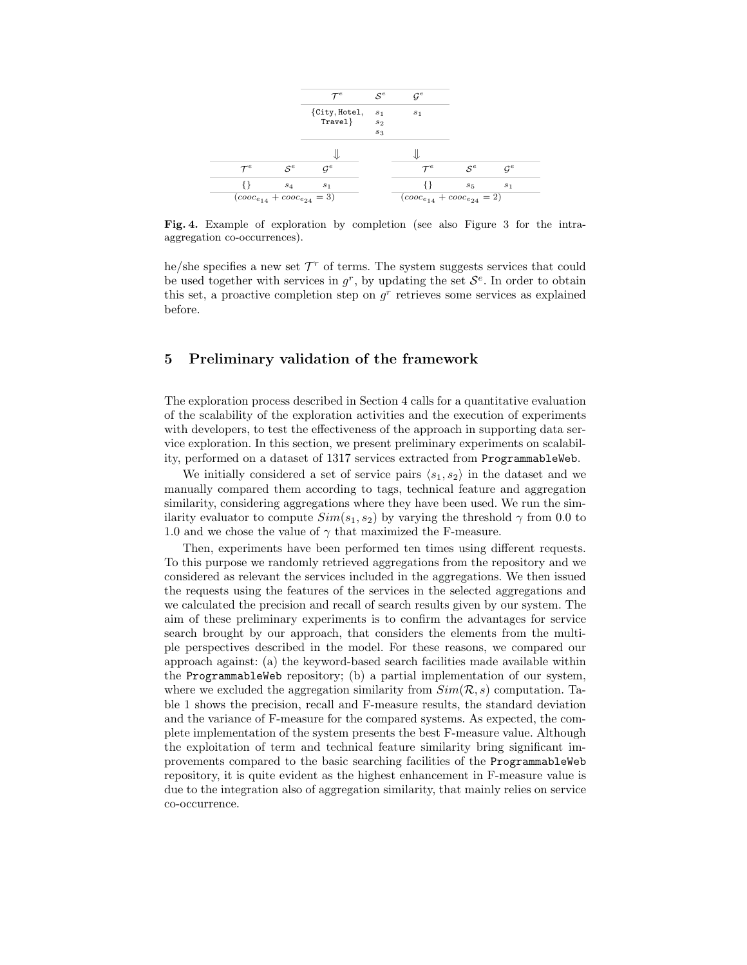

Fig. 4. Example of exploration by completion (see also Figure 3 for the intraaggregation co-occurrences).

he/she specifies a new set  $\mathcal{T}^r$  of terms. The system suggests services that could be used together with services in  $g^r$ , by updating the set  $\mathcal{S}^e$ . In order to obtain this set, a proactive completion step on  $g<sup>r</sup>$  retrieves some services as explained before.

# 5 Preliminary validation of the framework

The exploration process described in Section 4 calls for a quantitative evaluation of the scalability of the exploration activities and the execution of experiments with developers, to test the effectiveness of the approach in supporting data service exploration. In this section, we present preliminary experiments on scalability, performed on a dataset of 1317 services extracted from ProgrammableWeb.

We initially considered a set of service pairs  $\langle s_1, s_2 \rangle$  in the dataset and we manually compared them according to tags, technical feature and aggregation similarity, considering aggregations where they have been used. We run the similarity evaluator to compute  $Sim(s_1, s_2)$  by varying the threshold  $\gamma$  from 0.0 to 1.0 and we chose the value of  $\gamma$  that maximized the F-measure.

Then, experiments have been performed ten times using different requests. To this purpose we randomly retrieved aggregations from the repository and we considered as relevant the services included in the aggregations. We then issued the requests using the features of the services in the selected aggregations and we calculated the precision and recall of search results given by our system. The aim of these preliminary experiments is to confirm the advantages for service search brought by our approach, that considers the elements from the multiple perspectives described in the model. For these reasons, we compared our approach against: (a) the keyword-based search facilities made available within the ProgrammableWeb repository; (b) a partial implementation of our system, where we excluded the aggregation similarity from  $Sim(R, s)$  computation. Table 1 shows the precision, recall and F-measure results, the standard deviation and the variance of F-measure for the compared systems. As expected, the complete implementation of the system presents the best F-measure value. Although the exploitation of term and technical feature similarity bring significant improvements compared to the basic searching facilities of the ProgrammableWeb repository, it is quite evident as the highest enhancement in F-measure value is due to the integration also of aggregation similarity, that mainly relies on service co-occurrence.